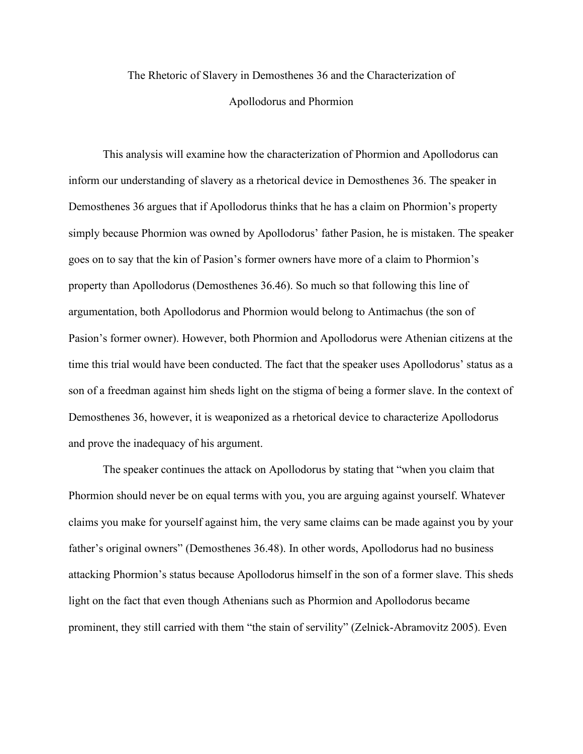## The Rhetoric of Slavery in Demosthenes 36 and the Characterization of Apollodorus and Phormion

This analysis will examine how the characterization of Phormion and Apollodorus can inform our understanding of slavery as a rhetorical device in Demosthenes 36. The speaker in Demosthenes 36 argues that if Apollodorus thinks that he has a claim on Phormion's property simply because Phormion was owned by Apollodorus' father Pasion, he is mistaken. The speaker goes on to say that the kin of Pasion's former owners have more of a claim to Phormion's property than Apollodorus (Demosthenes 36.46). So much so that following this line of argumentation, both Apollodorus and Phormion would belong to Antimachus (the son of Pasion's former owner). However, both Phormion and Apollodorus were Athenian citizens at the time this trial would have been conducted. The fact that the speaker uses Apollodorus' status as a son of a freedman against him sheds light on the stigma of being a former slave. In the context of Demosthenes 36, however, it is weaponized as a rhetorical device to characterize Apollodorus and prove the inadequacy of his argument.

The speaker continues the attack on Apollodorus by stating that "when you claim that Phormion should never be on equal terms with you, you are arguing against yourself. Whatever claims you make for yourself against him, the very same claims can be made against you by your father's original owners" (Demosthenes 36.48). In other words, Apollodorus had no business attacking Phormion's status because Apollodorus himself in the son of a former slave. This sheds light on the fact that even though Athenians such as Phormion and Apollodorus became prominent, they still carried with them "the stain of servility" (Zelnick-Abramovitz 2005). Even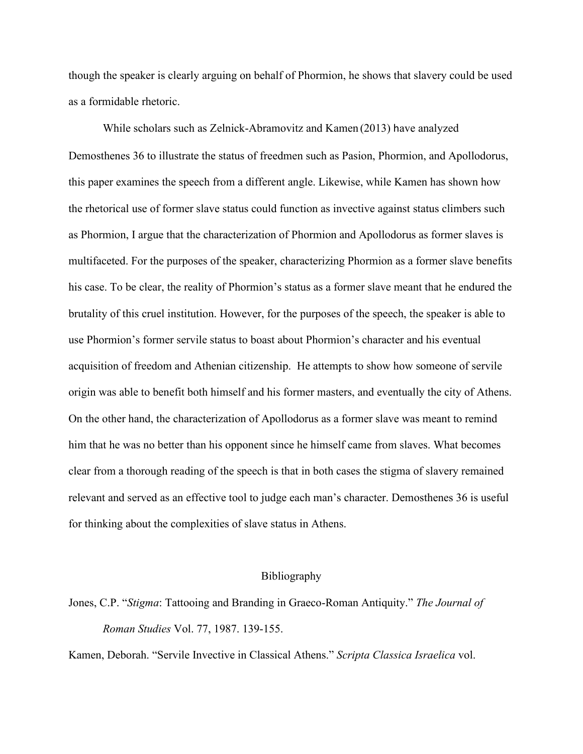though the speaker is clearly arguing on behalf of Phormion, he shows that slavery could be used as a formidable rhetoric.

While scholars such as Zelnick-Abramovitz and Kamen (2013) have analyzed Demosthenes 36 to illustrate the status of freedmen such as Pasion, Phormion, and Apollodorus, this paper examines the speech from a different angle. Likewise, while Kamen has shown how the rhetorical use of former slave status could function as invective against status climbers such as Phormion, I argue that the characterization of Phormion and Apollodorus as former slaves is multifaceted. For the purposes of the speaker, characterizing Phormion as a former slave benefits his case. To be clear, the reality of Phormion's status as a former slave meant that he endured the brutality of this cruel institution. However, for the purposes of the speech, the speaker is able to use Phormion's former servile status to boast about Phormion's character and his eventual acquisition of freedom and Athenian citizenship. He attempts to show how someone of servile origin was able to benefit both himself and his former masters, and eventually the city of Athens. On the other hand, the characterization of Apollodorus as a former slave was meant to remind him that he was no better than his opponent since he himself came from slaves. What becomes clear from a thorough reading of the speech is that in both cases the stigma of slavery remained relevant and served as an effective tool to judge each man's character. Demosthenes 36 is useful for thinking about the complexities of slave status in Athens.

## Bibliography

Jones, C.P. "*Stigma*: Tattooing and Branding in Graeco-Roman Antiquity." *The Journal of Roman Studies* Vol. 77, 1987. 139-155.

Kamen, Deborah. "Servile Invective in Classical Athens." *Scripta Classica Israelica* vol.